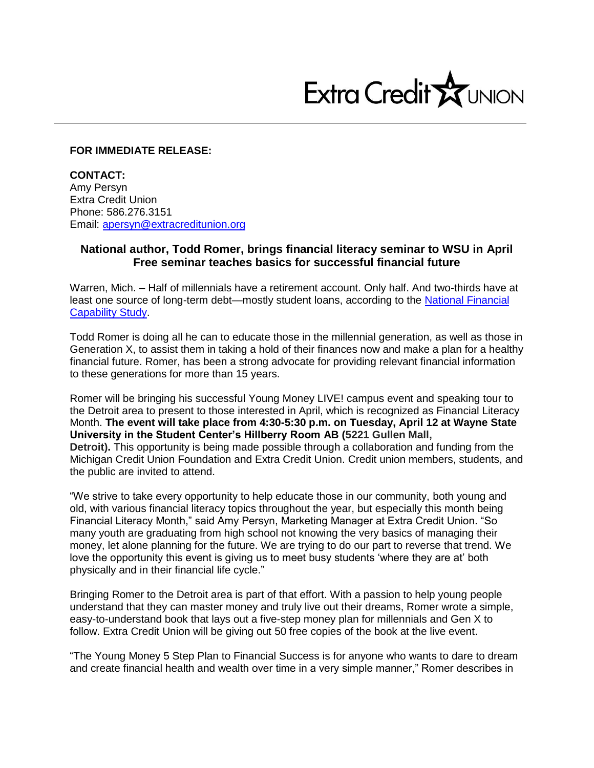

## **FOR IMMEDIATE RELEASE:**

**CONTACT:**  Amy Persyn Extra Credit Union Phone: 586.276.3151 Email: [apersyn@extracreditunion.org](mailto:apersyn@extracreditunion.org)

## **National author, Todd Romer, brings financial literacy seminar to WSU in April Free seminar teaches basics for successful financial future**

Warren, Mich. – Half of millennials have a retirement account. Only half. And two-thirds have at least one source of long-term debt—mostly student loans, according to the [National Financial](http://gflec.org/wp-content/uploads/2015/01/a738b9_b453bb8368e248f1bc546bb257ad0d2e.pdf) [Capability Study.](http://gflec.org/wp-content/uploads/2015/01/a738b9_b453bb8368e248f1bc546bb257ad0d2e.pdf)

Todd Romer is doing all he can to educate those in the millennial generation, as well as those in Generation X, to assist them in taking a hold of their finances now and make a plan for a healthy financial future. Romer, has been a strong advocate for providing relevant financial information to these generations for more than 15 years.

Romer will be bringing his successful Young Money LIVE! campus event and speaking tour to the Detroit area to present to those interested in April, which is recognized as Financial Literacy Month. **The event will take place from 4:30-5:30 p.m. on Tuesday, April 12 at Wayne State University in the Student Center's Hillberry Room AB (5221 Gullen Mall,** 

**Detroit).** This opportunity is being made possible through a collaboration and funding from the Michigan Credit Union Foundation and Extra Credit Union. Credit union members, students, and the public are invited to attend.

"We strive to take every opportunity to help educate those in our community, both young and old, with various financial literacy topics throughout the year, but especially this month being Financial Literacy Month," said Amy Persyn, Marketing Manager at Extra Credit Union. "So many youth are graduating from high school not knowing the very basics of managing their money, let alone planning for the future. We are trying to do our part to reverse that trend. We love the opportunity this event is giving us to meet busy students 'where they are at' both physically and in their financial life cycle."

Bringing Romer to the Detroit area is part of that effort. With a passion to help young people understand that they can master money and truly live out their dreams, Romer wrote a simple, easy-to-understand book that lays out a five-step money plan for millennials and Gen X to follow. Extra Credit Union will be giving out 50 free copies of the book at the live event.

"The Young Money 5 Step Plan to Financial Success is for anyone who wants to dare to dream and create financial health and wealth over time in a very simple manner," Romer describes in